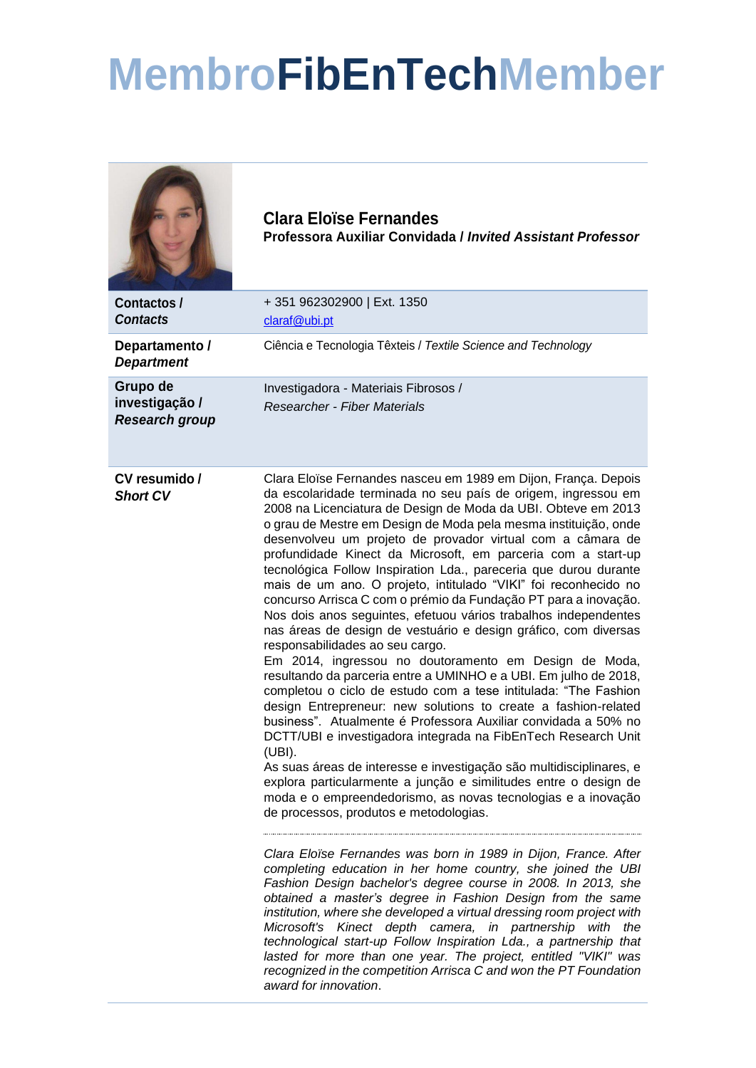## **MembroFibEnTechMember**

|                                                     | <b>Clara Eloïse Fernandes</b><br>Professora Auxiliar Convidada / Invited Assistant Professor                                                                                                                                                                                                                                                                                                                                                                                                                                                                                                                                                                                                                                                                                                                                                                                                                                                                                                                                                                                                                                                                                                                                                                                                                                                                                                                                                                                                                                                                                                                                                                                                                                                                                                                                                                                                                                                                                                                                                                                                           |
|-----------------------------------------------------|--------------------------------------------------------------------------------------------------------------------------------------------------------------------------------------------------------------------------------------------------------------------------------------------------------------------------------------------------------------------------------------------------------------------------------------------------------------------------------------------------------------------------------------------------------------------------------------------------------------------------------------------------------------------------------------------------------------------------------------------------------------------------------------------------------------------------------------------------------------------------------------------------------------------------------------------------------------------------------------------------------------------------------------------------------------------------------------------------------------------------------------------------------------------------------------------------------------------------------------------------------------------------------------------------------------------------------------------------------------------------------------------------------------------------------------------------------------------------------------------------------------------------------------------------------------------------------------------------------------------------------------------------------------------------------------------------------------------------------------------------------------------------------------------------------------------------------------------------------------------------------------------------------------------------------------------------------------------------------------------------------------------------------------------------------------------------------------------------------|
| <b>Contactos /</b><br><b>Contacts</b>               | +351 962302900   Ext. 1350<br>claraf@ubi.pt                                                                                                                                                                                                                                                                                                                                                                                                                                                                                                                                                                                                                                                                                                                                                                                                                                                                                                                                                                                                                                                                                                                                                                                                                                                                                                                                                                                                                                                                                                                                                                                                                                                                                                                                                                                                                                                                                                                                                                                                                                                            |
| Departamento /<br><b>Department</b>                 | Ciência e Tecnologia Têxteis / Textile Science and Technology                                                                                                                                                                                                                                                                                                                                                                                                                                                                                                                                                                                                                                                                                                                                                                                                                                                                                                                                                                                                                                                                                                                                                                                                                                                                                                                                                                                                                                                                                                                                                                                                                                                                                                                                                                                                                                                                                                                                                                                                                                          |
| Grupo de<br>investigação /<br><b>Research group</b> | Investigadora - Materiais Fibrosos /<br><b>Researcher - Fiber Materials</b>                                                                                                                                                                                                                                                                                                                                                                                                                                                                                                                                                                                                                                                                                                                                                                                                                                                                                                                                                                                                                                                                                                                                                                                                                                                                                                                                                                                                                                                                                                                                                                                                                                                                                                                                                                                                                                                                                                                                                                                                                            |
| CV resumido /<br><b>Short CV</b>                    | Clara Eloïse Fernandes nasceu em 1989 em Dijon, França. Depois<br>da escolaridade terminada no seu país de origem, ingressou em<br>2008 na Licenciatura de Design de Moda da UBI. Obteve em 2013<br>o grau de Mestre em Design de Moda pela mesma instituição, onde<br>desenvolveu um projeto de provador virtual com a câmara de<br>profundidade Kinect da Microsoft, em parceria com a start-up<br>tecnológica Follow Inspiration Lda., pareceria que durou durante<br>mais de um ano. O projeto, intitulado "VIKI" foi reconhecido no<br>concurso Arrisca C com o prémio da Fundação PT para a inovação.<br>Nos dois anos seguintes, efetuou vários trabalhos independentes<br>nas áreas de design de vestuário e design gráfico, com diversas<br>responsabilidades ao seu cargo.<br>Em 2014, ingressou no doutoramento em Design de Moda,<br>resultando da parceria entre a UMINHO e a UBI. Em julho de 2018,<br>completou o ciclo de estudo com a tese intitulada: "The Fashion<br>design Entrepreneur: new solutions to create a fashion-related<br>business". Atualmente é Professora Auxiliar convidada a 50% no<br>DCTT/UBI e investigadora integrada na FibEnTech Research Unit<br>(UBI).<br>As suas áreas de interesse e investigação são multidisciplinares, e<br>explora particularmente a junção e similitudes entre o design de<br>moda e o empreendedorismo, as novas tecnologias e a inovação<br>de processos, produtos e metodologias.<br>Clara Eloïse Fernandes was born in 1989 in Dijon, France. After<br>completing education in her home country, she joined the UBI<br>Fashion Design bachelor's degree course in 2008. In 2013, she<br>obtained a master's degree in Fashion Design from the same<br>institution, where she developed a virtual dressing room project with<br>Microsoft's Kinect depth camera, in partnership with the<br>technological start-up Follow Inspiration Lda., a partnership that<br>lasted for more than one year. The project, entitled "VIKI" was<br>recognized in the competition Arrisca C and won the PT Foundation<br>award for innovation. |